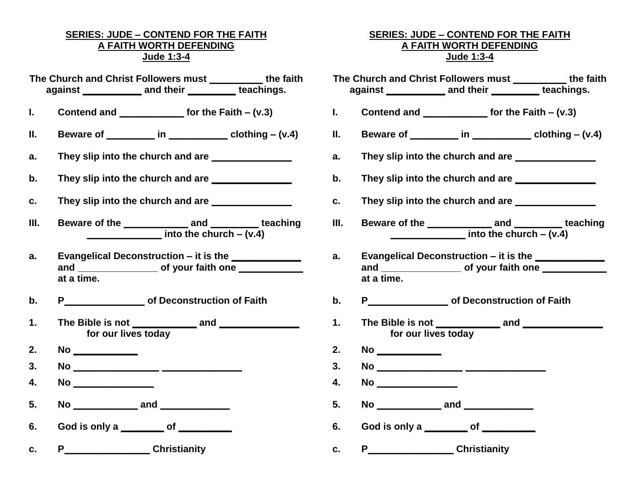### **SERIES: JUDE – CONTEND FOR THE FAITH A FAITH WORTH DEFENDING Jude 1:3-4**

- **The Church and Christ Followers must \_\_\_\_\_\_\_\_\_\_ the faith against \_\_\_\_\_\_\_\_\_\_\_ and their \_\_\_\_\_\_\_\_\_ teachings.**
- **I. Contend and \_\_\_\_\_\_\_\_\_\_\_\_ for the Faith – (v.3)**
- **II. Beware of \_\_\_\_\_\_\_\_\_ in \_\_\_\_\_\_\_\_\_\_\_ clothing – (v.4)**
- **a. They slip into the church and are \_\_\_\_\_\_\_\_\_\_\_\_\_\_\_**
- **b.** They slip into the church and are **we are the change of the state of the state of the state of the state of the state of the state of the state of the state of the state of the state of the state of the state of the s**
- **c.** They slip into the church and are
- **III. Beware of the \_\_\_\_\_\_\_\_\_\_\_\_ and \_\_\_\_\_\_\_\_\_ teaching \_\_\_\_\_\_\_\_\_\_\_\_\_\_ into the church – (v.4)**
- **a. Evangelical Deconstruction – it is the \_\_\_\_\_\_\_\_\_\_\_\_\_** and **of your faith one at a time.**
- **b. P\_\_\_\_\_\_\_\_\_\_\_\_\_\_\_ of Deconstruction of Faith**
- **1. The Bible is not \_\_\_\_\_\_\_\_\_\_\_\_ and \_\_\_\_\_\_\_\_\_\_\_\_\_\_\_ for our lives today**
- **2. No \_\_\_\_\_\_\_\_\_\_\_\_**
- **3. No \_\_\_\_\_\_\_\_\_\_\_\_\_\_\_\_ \_\_\_\_\_\_\_\_\_\_\_\_\_\_\_**
- **4. No \_\_\_\_\_\_\_\_\_\_\_\_\_\_\_**
- **5. No \_\_\_\_\_\_\_\_\_\_\_\_ and \_\_\_\_\_\_\_\_\_\_\_\_\_**
- **6. God is only a \_\_\_\_\_\_\_\_ of \_\_\_\_\_\_\_\_\_\_**
- **c. P\_\_\_\_\_\_\_\_\_\_\_\_\_\_\_\_ Christianity**

#### **SERIES: JUDE – CONTEND FOR THE FAITH A FAITH WORTH DEFENDING Jude 1:3-4**

**The Church and Christ Followers must \_\_\_\_\_\_\_\_\_\_ the faith against \_\_\_\_\_\_\_\_\_\_\_ and their \_\_\_\_\_\_\_\_\_ teachings. I. Contend and \_\_\_\_\_\_\_\_\_\_\_\_ for the Faith – (v.3) II. Beware of \_\_\_\_\_\_\_\_\_ in \_\_\_\_\_\_\_\_\_\_\_ clothing – (v.4) a. They slip into the church and are \_\_\_\_\_\_\_\_\_\_\_\_\_\_\_ b.** They slip into the church and are **c. They slip into the church and are \_\_\_\_\_\_\_\_\_\_\_\_\_\_\_ III. Beware of the \_\_\_\_\_\_\_\_\_\_\_\_ and \_\_\_\_\_\_\_\_\_ teaching \_\_\_\_\_\_\_\_\_\_\_\_\_\_ into the church – (v.4) a. Evangelical Deconstruction – it is the \_\_\_\_\_\_\_\_\_\_\_\_\_** and **and and contraith one and and structure of your faith one and structure of your faith one at a time. b. P\_\_\_\_\_\_\_\_\_\_\_\_\_\_\_ of Deconstruction of Faith 1. The Bible is not \_\_\_\_\_\_\_\_\_\_\_\_ and \_\_\_\_\_\_\_\_\_\_\_\_\_\_\_ for our lives today 2. No \_\_\_\_\_\_\_\_\_\_\_\_ 3. No \_\_\_\_\_\_\_\_\_\_\_\_\_\_\_\_ \_\_\_\_\_\_\_\_\_\_\_\_\_\_\_ 4. No \_\_\_\_\_\_\_\_\_\_\_\_\_\_\_ 5. No \_\_\_\_\_\_\_\_\_\_\_\_ and \_\_\_\_\_\_\_\_\_\_\_\_\_ 6. God is only a \_\_\_\_\_\_\_\_ of \_\_\_\_\_\_\_\_\_\_ c. P\_\_\_\_\_\_\_\_\_\_\_\_\_\_\_\_ Christianity**